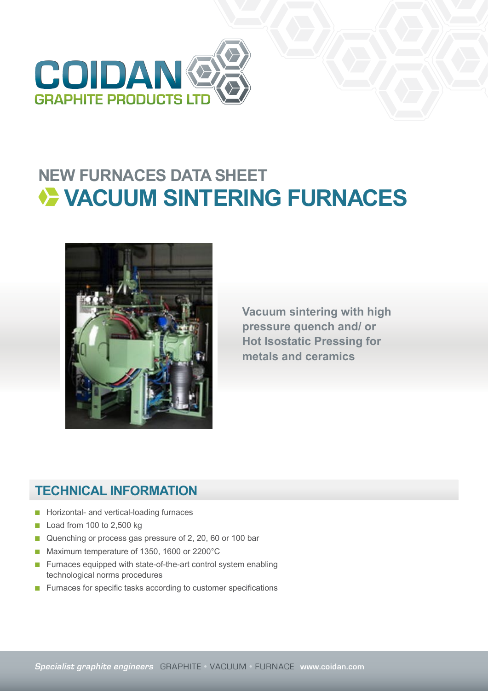

## **NEW FURNACES DATA SHEET VACUUM SINTERING FURNACES**



**Vacuum sintering with high pressure quench and/ or Hot Isostatic Pressing for metals and ceramics**

## **TECHNICAL INFORMATION**

- Horizontal- and vertical-loading furnaces
- Load from 100 to 2,500 kg
- Quenching or process gas pressure of 2, 20, 60 or 100 bar
- Maximum temperature of 1350, 1600 or 2200°C
- Furnaces equipped with state-of-the-art control system enabling technological norms procedures
- Furnaces for specific tasks according to customer specifications